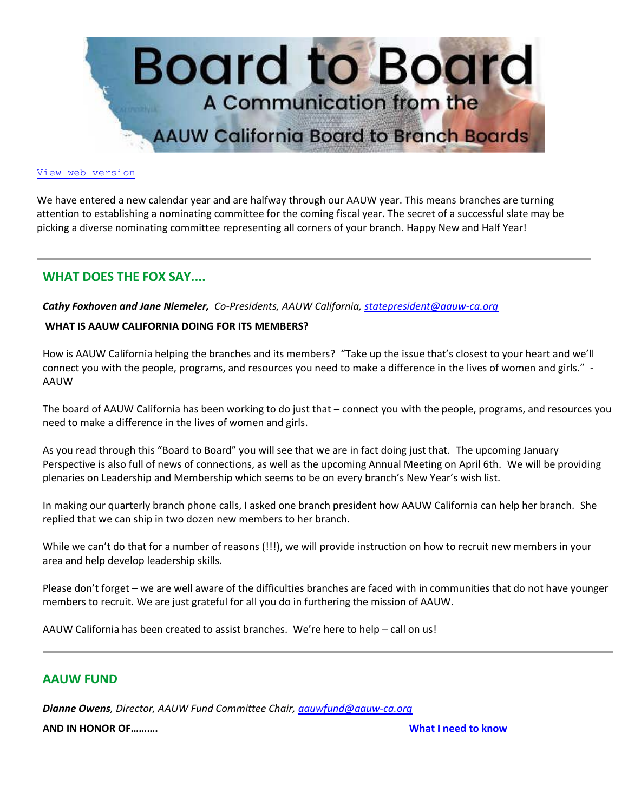

#### [View web version](https://bor.aauw-ca.org/sendy/w/892iUf2Z3Hxblitd0dEvE47A/wVU892892Xu9PNq3IbigHQrC7A/3xifqKz8W763pHUgGbw9SM763w)

We have entered a new calendar year and are halfway through our AAUW year. This means branches are turning attention to establishing a nominating committee for the coming fiscal year. The secret of a successful slate may be picking a diverse nominating committee representing all corners of your branch. Happy New and Half Year!

### **WHAT DOES THE FOX SAY....**

*Cathy Foxhoven and Jane Niemeier, Co-Presidents, AAUW California, [statepresident@aauw-ca.org](mailto:statepresident@aauw-ca.org)*

### **WHAT IS AAUW CALIFORNIA DOING FOR ITS MEMBERS?**

How is AAUW California helping the branches and its members? "Take up the issue that's closest to your heart and we'll connect you with the people, programs, and resources you need to make a difference in the lives of women and girls." - AAUW

The board of AAUW California has been working to do just that – connect you with the people, programs, and resources you need to make a difference in the lives of women and girls.

As you read through this "Board to Board" you will see that we are in fact doing just that. The upcoming January Perspective is also full of news of connections, as well as the upcoming Annual Meeting on April 6th. We will be providing plenaries on Leadership and Membership which seems to be on every branch's New Year's wish list.

In making our quarterly branch phone calls, I asked one branch president how AAUW California can help her branch. She replied that we can ship in two dozen new members to her branch.

While we can't do that for a number of reasons (!!!), we will provide instruction on how to recruit new members in your area and help develop leadership skills.

Please don't forget – we are well aware of the difficulties branches are faced with in communities that do not have younger members to recruit. We are just grateful for all you do in furthering the mission of AAUW.

AAUW California has been created to assist branches. We're here to help – call on us!

# **AAUW FUND**

*Dianne Owens, Director, AAUW Fund Committee Chair, [aauwfund@aauw-ca.org](mailto:aauwfund@aauw-ca.org)*

**AND IN HONOR OF………. What I need to know**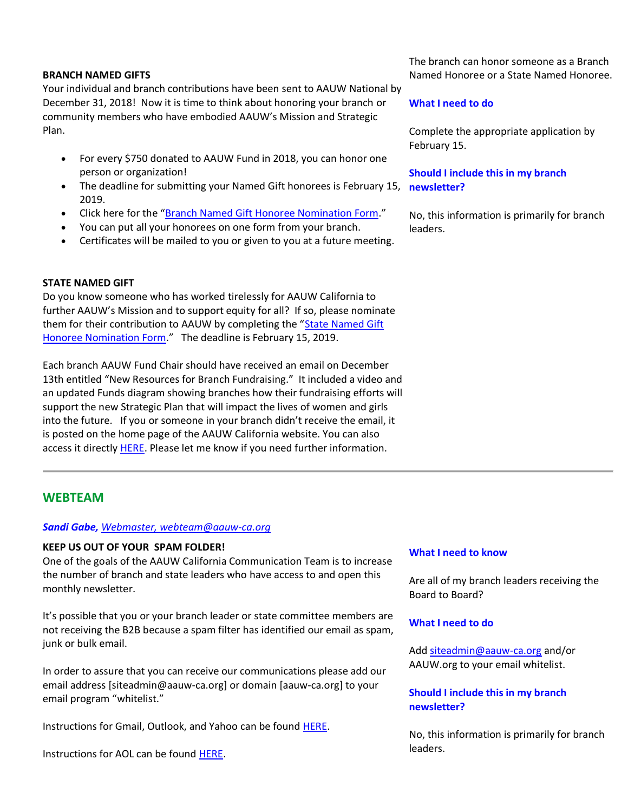#### **BRANCH NAMED GIFTS**

Your individual and branch contributions have been sent to AAUW National by December 31, 2018! Now it is time to think about honoring your branch or community members who have embodied AAUW's Mission and Strategic Plan.

- For every \$750 donated to AAUW Fund in 2018, you can honor one person or organization!
- The deadline for submitting your Named Gift honorees is February 15, 2019.
- Click here for the "[Branch Named Gift Honoree Nomination Form](https://bor.aauw-ca.org/sendy/l/892iUf2Z3Hxblitd0dEvE47A/10Bxu763X763v47Vukw6dIjCVw/3xifqKz8W763pHUgGbw9SM763w)."
- You can put all your honorees on one form from your branch.
- Certificates will be mailed to you or given to you at a future meeting.

#### **STATE NAMED GIFT**

Do you know someone who has worked tirelessly for AAUW California to further AAUW's Mission and to support equity for all? If so, please nominate them for their contribution to AAUW by completing the "[State Named Gift](https://bor.aauw-ca.org/sendy/l/892iUf2Z3Hxblitd0dEvE47A/8923PILt6dpgugu3VyG5XLRw/3xifqKz8W763pHUgGbw9SM763w)  [Honoree Nomination Form.](https://bor.aauw-ca.org/sendy/l/892iUf2Z3Hxblitd0dEvE47A/8923PILt6dpgugu3VyG5XLRw/3xifqKz8W763pHUgGbw9SM763w)" The deadline is February 15, 2019.

Each branch AAUW Fund Chair should have received an email on December 13th entitled "New Resources for Branch Fundraising." It included a video and an updated Funds diagram showing branches how their fundraising efforts will support the new Strategic Plan that will impact the lives of women and girls into the future. If you or someone in your branch didn't receive the email, it is posted on the home page of the AAUW California website. You can also access it directly [HERE.](https://bor.aauw-ca.org/sendy/l/892iUf2Z3Hxblitd0dEvE47A/QwxSMI763U89224dMrmPRUKfeA/3xifqKz8W763pHUgGbw9SM763w) Please let me know if you need further information.

### **WEBTEAM**

### *Sandi Gabe, [Webmaster,](mailto:Communications@aauw-ca.org) [webteam@aauw-ca.org](mailto:webteam@aauw-ca.org)*

#### **KEEP US OUT OF YOUR SPAM FOLDER!**

One of the goals of the AAUW California Communication Team is to increase the number of branch and state leaders who have access to and open this monthly newsletter.

It's possible that you or your branch leader or state committee members are not receiving the B2B because a spam filter has identified our email as spam, junk or bulk email.

In order to assure that you can receive our communications please add our email address [siteadmin@aauw-ca.org] or domain [aauw-ca.org] to your email program "whitelist."

Instructions for Gmail, Outlook, and Yahoo can be found [HERE.](https://bor.aauw-ca.org/sendy/l/892iUf2Z3Hxblitd0dEvE47A/bgxdRr5GNGS9yB8N4KOBSA/3xifqKz8W763pHUgGbw9SM763w)

Instructions for AOL can be found [HERE.](https://bor.aauw-ca.org/sendy/l/892iUf2Z3Hxblitd0dEvE47A/M7fr78lYDubu1jZH3BjTog/3xifqKz8W763pHUgGbw9SM763w)

The branch can honor someone as a Branch Named Honoree or a State Named Honoree.

#### **What I need to do**

Complete the appropriate application by February 15.

### **Should I include this in my branch newsletter?**

No, this information is primarily for branch leaders.

#### **What I need to know**

Are all of my branch leaders receiving the Board to Board?

#### **What I need to do**

Add [siteadmin@aauw-ca.org](mailto:Siteadmin@aauw-ca.org) and/or AAUW.org to your email whitelist.

### **Should I include this in my branch newsletter?**

No, this information is primarily for branch leaders.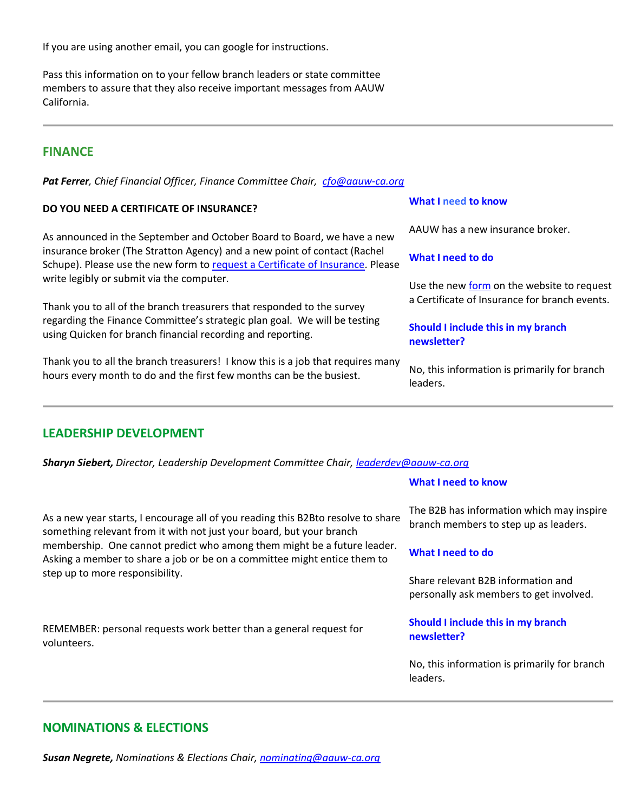If you are using another email, you can google for instructions.

Pass this information on to your fellow branch leaders or state committee members to assure that they also receive important messages from AAUW California.

# **FINANCE**

*Pat Ferrer, Chief Financial Officer, Finance Committee Chair, [cfo@aauw-ca.org](mailto:cfo@aauw-ca.org)*

#### **DO YOU NEED A CERTIFICATE OF INSURANCE?**

As announced in the September and October Board to Board, we have a new insurance broker (The Stratton Agency) and a new point of contact (Rachel Schupe). Please use the new form to [request a Certificate of Insurance.](https://bor.aauw-ca.org/sendy/l/892iUf2Z3Hxblitd0dEvE47A/x0IsDVmO3PN7xXG3N4fhKw/3xifqKz8W763pHUgGbw9SM763w) Please write legibly or submit via the computer.

Thank you to all of the branch treasurers that responded to the survey regarding the Finance Committee's strategic plan goal. We will be testing using Quicken for branch financial recording and reporting.

Thank you to all the branch treasurers! I know this is a job that requires many hours every month to do and the first few months can be the busiest.

As a new year starts, I encourage all of you reading this B2Bto resolve to share

membership. One cannot predict who among them might be a future leader. Asking a member to share a job or be on a committee might entice them to

#### **What I need to know**

AAUW has a new insurance broker.

#### **What I need to do**

Use the new [form](https://bor.aauw-ca.org/sendy/l/892iUf2Z3Hxblitd0dEvE47A/x0IsDVmO3PN7xXG3N4fhKw/3xifqKz8W763pHUgGbw9SM763w) on the website to request a Certificate of Insurance for branch events.

### **Should I include this in my branch newsletter?**

No, this information is primarily for branch leaders.

# **LEADERSHIP DEVELOPMENT**

step up to more responsibility.

*Sharyn Siebert, Director, Leadership Development Committee Chair, [leaderdev@aauw-ca.org](mailto:leaderdev@aauw-ca.org)*

#### **What I need to know**

The B2B has information which may inspire branch members to step up as leaders.

#### **What I need to do**

Share relevant B2B information and personally ask members to get involved.

### **Should I include this in my branch newsletter?**

No, this information is primarily for branch leaders.

# REMEMBER: personal requests work better than a general request for volunteers.

something relevant from it with not just your board, but your branch

### **NOMINATIONS & ELECTIONS**

*Susan Negrete, Nominations & Elections Chair, [nominating@aauw-ca.org](mailto:nominating@aauw-ca.org)*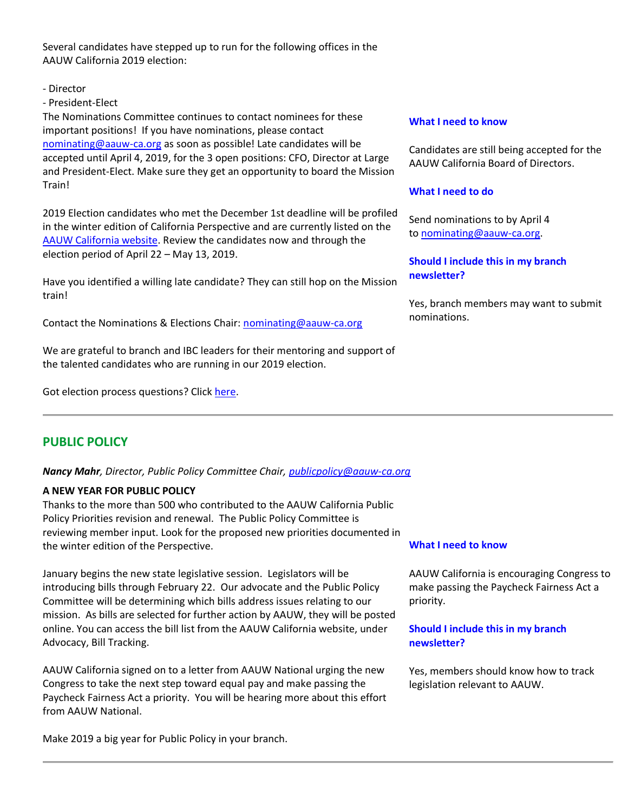Several candidates have stepped up to run for the following offices in the AAUW California 2019 election:

- Director
- President-Elect

The Nominations Committee continues to contact nominees for these important positions! If you have nominations, please contact [nominating@aauw-ca.org](mailto:nominating@aauw-ca.org) as soon as possible! Late candidates will be accepted until April 4, 2019, for the 3 open positions: CFO, Director at Large and President-Elect. Make sure they get an opportunity to board the Mission Train!

2019 Election candidates who met the December 1st deadline will be profiled in the winter edition of California Perspective and are currently listed on the [AAUW California website.](https://bor.aauw-ca.org/sendy/l/892iUf2Z3Hxblitd0dEvE47A/Nt8cZkaDkz8Hs31Sz6ni4Q/3xifqKz8W763pHUgGbw9SM763w) Review the candidates now and through the election period of April 22 – May 13, 2019.

Have you identified a willing late candidate? They can still hop on the Mission train!

Contact the Nominations & Elections Chair: [nominating@aauw-ca.org](mailto:nominating@aauw-ca.org)

We are grateful to branch and IBC leaders for their mentoring and support of the talented candidates who are running in our 2019 election.

Got election process questions? Click [here.](https://bor.aauw-ca.org/sendy/l/892iUf2Z3Hxblitd0dEvE47A/ex892airBpGkgxdD892892L763YENQ/3xifqKz8W763pHUgGbw9SM763w)

### **What I need to know**

Candidates are still being accepted for the AAUW California Board of Directors.

### **What I need to do**

Send nominations to by April 4 to [nominating@aauw-ca.org.](mailto:nominating@aauw-ca.org)

# **Should I include this in my branch newsletter?**

Yes, branch members may want to submit nominations.

# **PUBLIC POLICY**

### *Nancy Mahr, Director, Public Policy Committee Chair, [publicpolicy@aauw-ca.org](mailto:PublicPolicy@aauw-ca.org)*

### **A NEW YEAR FOR PUBLIC POLICY**

Thanks to the more than 500 who contributed to the AAUW California Public Policy Priorities revision and renewal. The Public Policy Committee is reviewing member input. Look for the proposed new priorities documented in the winter edition of the Perspective.

January begins the new state legislative session. Legislators will be introducing bills through February 22. Our advocate and the Public Policy Committee will be determining which bills address issues relating to our mission. As bills are selected for further action by AAUW, they will be posted online. You can access the bill list from the AAUW California website, under Advocacy, Bill Tracking.

AAUW California signed on to a letter from AAUW National urging the new Congress to take the next step toward equal pay and make passing the Paycheck Fairness Act a priority. You will be hearing more about this effort from AAUW National.

Make 2019 a big year for Public Policy in your branch.

### **What I need to know**

AAUW California is encouraging Congress to make passing the Paycheck Fairness Act a priority.

### **Should I include this in my branch newsletter?**

Yes, members should know how to track legislation relevant to AAUW.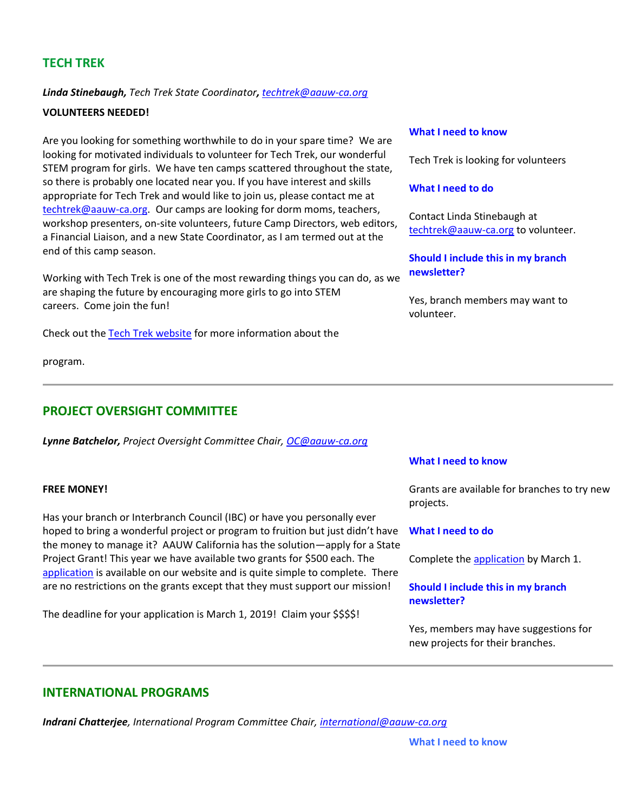# **TECH TREK**

#### *Linda Stinebaugh, Tech Trek State Coordinator, [techtrek@aauw-ca.org](mailto:techtrek@aauw-ca.org)*

#### **VOLUNTEERS NEEDED!**

Are you looking for something worthwhile to do in your spare time? We are looking for motivated individuals to volunteer for Tech Trek, our wonderful STEM program for girls. We have ten camps scattered throughout the state, so there is probably one located near you. If you have interest and skills appropriate for Tech Trek and would like to join us, please contact me at [techtrek@aauw-ca.org.](mailto:techtrek@aauw-ca.org) Our camps are looking for dorm moms, teachers, workshop presenters, on-site volunteers, future Camp Directors, web editors, a Financial Liaison, and a new State Coordinator, as I am termed out at the end of this camp season.

Working with Tech Trek is one of the most rewarding things you can do, as we are shaping the future by encouraging more girls to go into STEM careers. Come join the fun!

Check out the Tech [Trek website](https://bor.aauw-ca.org/sendy/l/892iUf2Z3Hxblitd0dEvE47A/7PKWQXh3x8RRRZ3ZWjYGXg/3xifqKz8W763pHUgGbw9SM763w) for more information about the

program.

# **PROJECT OVERSIGHT COMMITTEE**

*Lynne Batchelor, Project Oversight Committee Chair, [OC@aauw-ca.org](mailto:oc@aauw-ca.org)*

#### **FREE MONEY!**

Has your branch or Interbranch Council (IBC) or have you personally ever hoped to bring a wonderful project or program to fruition but just didn't have the money to manage it? AAUW California has the solution—apply for a State Project Grant! This year we have available two grants for \$500 each. The [application](https://bor.aauw-ca.org/sendy/l/892iUf2Z3Hxblitd0dEvE47A/YlCXnipz3BW763vV4zm3cv892Q/3xifqKz8W763pHUgGbw9SM763w) is available on our website and is quite simple to complete. There are no restrictions on the grants except that they must support our mission!

The deadline for your application is March 1, 2019! Claim your \$\$\$\$!

#### **What I need to know**

Tech Trek is looking for volunteers

#### **What I need to do**

Contact Linda Stinebaugh at [techtrek@aauw-ca.org](mailto:techtrek@aauw-ca.org) to volunteer.

### **Should I include this in my branch newsletter?**

Yes, branch members may want to volunteer.

#### **What I need to know**

Grants are available for branches to try new projects.

#### **What I need to do**

Complete the [application](https://bor.aauw-ca.org/sendy/l/892iUf2Z3Hxblitd0dEvE47A/YlCXnipz3BW763vV4zm3cv892Q/3xifqKz8W763pHUgGbw9SM763w) by March 1.

### **Should I include this in my branch newsletter?**

Yes, members may have suggestions for new projects for their branches.

### **INTERNATIONAL PROGRAMS**

*Indrani Chatterjee, International Program Committee Chair, [international@aauw-ca.org](mailto:international@aauw-ca.org)*